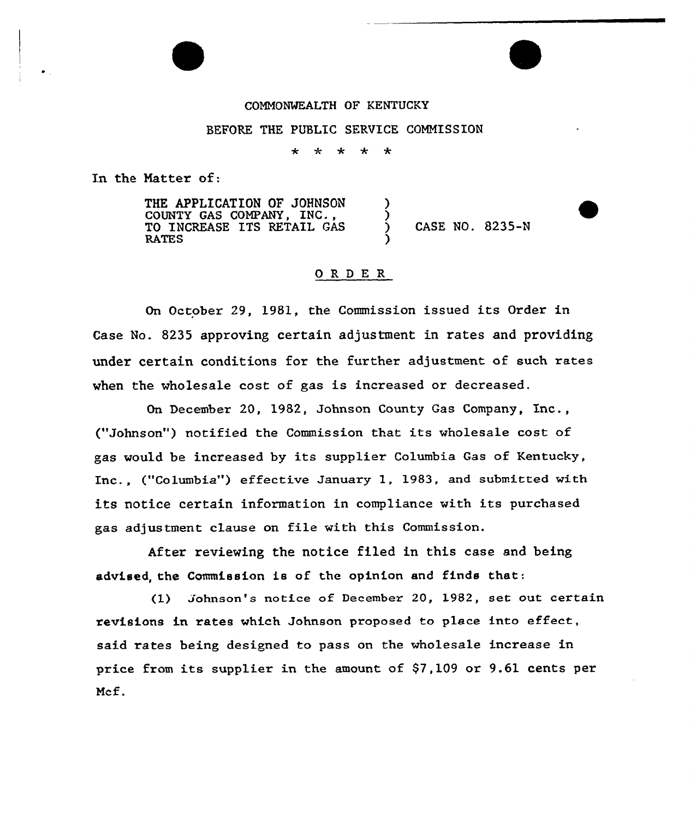## COMMONWEALTH OF KENTUCKY

## BEFORE THE PUBLIC SERVICE COMMISSION

 $\star$  $\star$  $\star$  $\star$ 

In the Natter of:

| <b>THE APPLICATION OF JOHNSON</b><br>COUNTY GAS COMPANY, INC<br>TO INCREASE ITS RETAIL GAS<br><b>RATES</b> |  |  |  | CASE NO. 8235-N |
|------------------------------------------------------------------------------------------------------------|--|--|--|-----------------|
|------------------------------------------------------------------------------------------------------------|--|--|--|-----------------|

# ORDER

On October 29, 1981, the Commission issued its Order in Case No. 8235 approving certain adjustment in rates and providing under certain conditions for the further adjustment of such rates when the wholesale cost of gas is increased or decreased.

On December 20, 1982, Johnson County Gas Company, Inc ("Johnson") notified the Commission that its wholesale cost of gas would be increased by its supplier Columbia Gas of Kentucky, Inc., ("Columbia") effective January 1, 1983, and submitted with its notice certain information in compliance with its purchased gas adjustment clause on file with this Commission.

After reviewing the notice filed in this case and being advised, the Commission is of the opinion and finds that:

(1) Johnson's notice of December 20, 1982, set out certain revisions in rates which Johnson proposed to place into effect, said rates being designed to pass on the wholesale increase in price from its supplier in the amount of \$7,109 or 9.61 cents perMcf.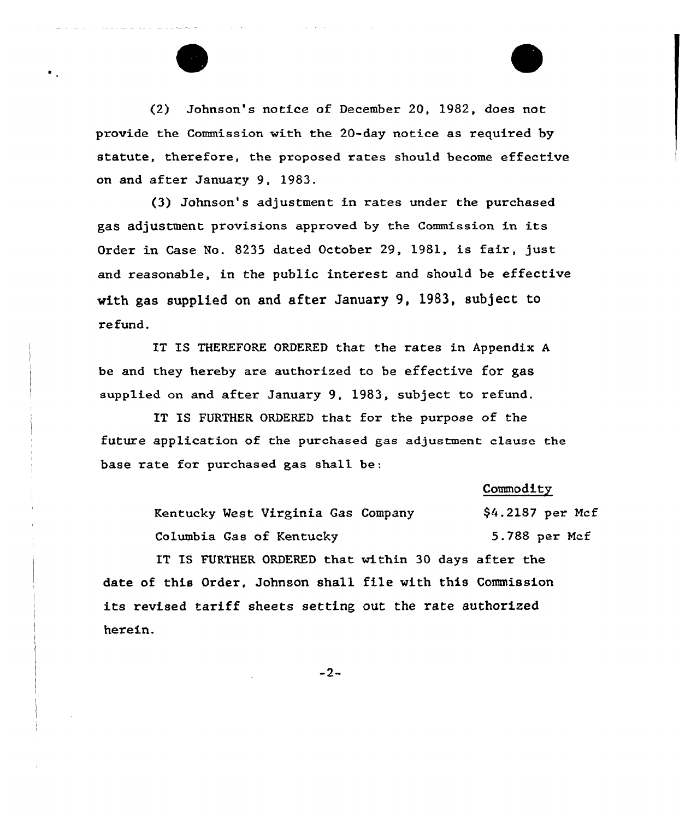

 $\bullet$ 

(2) Johnson's notice of December 20, 1982, does not provide the Commission with the 20-day notice as required by statute, therefore, the proposed rates should become effective on and after January 9, 1983.

(3) Johnson's adjustment in rates under the purchased gas adjustment provisions approved by the Commission in its Order in Case No. 8235 dated October 29, 1981, is fair, just and reasonable, in the public interest and should be effective with gas supplied on and after January 9, l983, subject to refund.

IT IS THEREFORE ORDERED that the rates in Appendix <sup>A</sup> be and they hereby are authorized to be effective for gas supplied on and after January 9, 1983, subject to refund.

IT IS FURTHER ORDERED that fox the purpose of the future application of the purchased gas adjustment clause the base xate fox purchased gas shall be:

### Commodity

Kentucky Vest Virginia Gas Company Columbia Gas of Kentucky \$4.2187 per Hcf 5.788 per Ncf

IT IS FURTHER ORDERED that within 30 days after the date of this Order, Johnson shall file with this Commission its revised tariff sheets setting out the rate authorized herein.

 $-2-$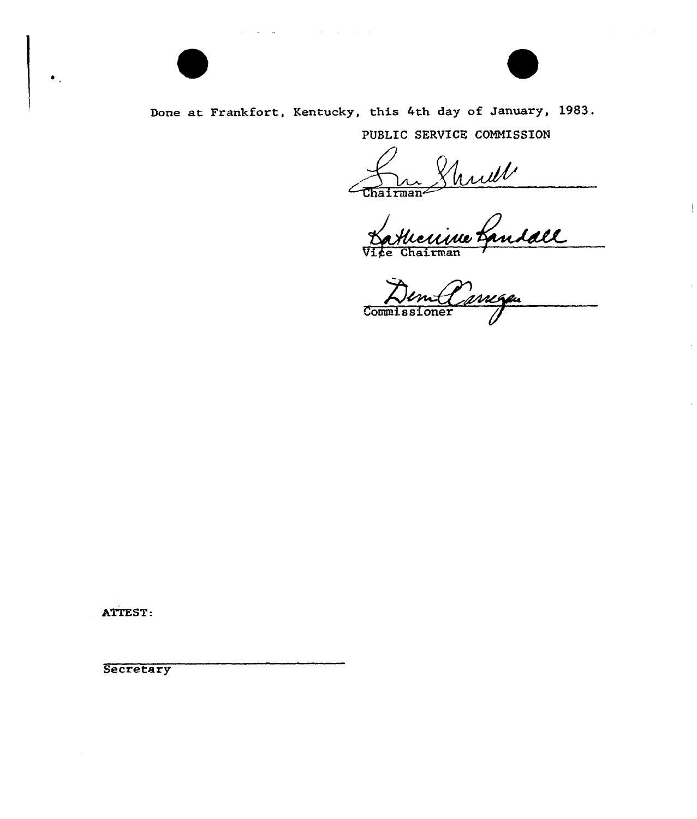

 $\bullet$ .



Done at Frankfort, Kentucky, this 4th day of January, 1983.

and the contract of the con-

**College** 

PUBLIC SERUICE COMMISSION

 $\overline{\text{Chairman}^2}$ Mull<br>Werning Landall

Commissioner

ATTEST:

**Secretary**